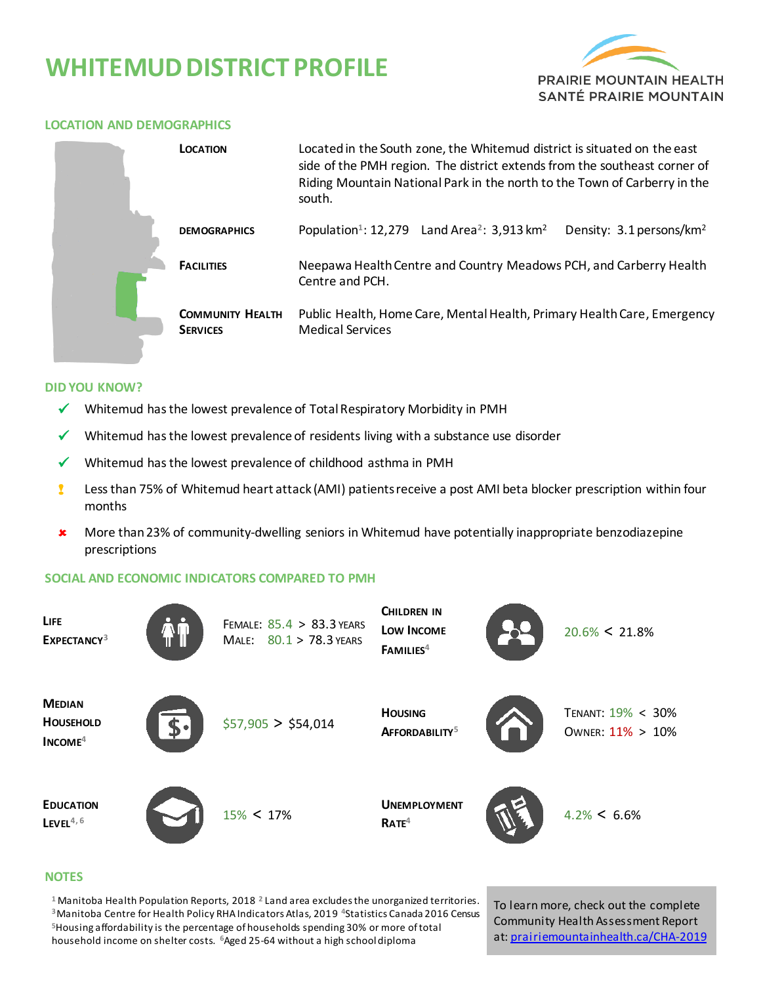# **WHITEMUD DISTRICT PROFILE**



### **LOCATION AND DEMOGRAPHICS**

|  | <b>LOCATION</b>                            | Located in the South zone, the Whitemud district is situated on the east<br>side of the PMH region. The district extends from the southeast corner of<br>Riding Mountain National Park in the north to the Town of Carberry in the<br>south. |  |  |
|--|--------------------------------------------|----------------------------------------------------------------------------------------------------------------------------------------------------------------------------------------------------------------------------------------------|--|--|
|  | <b>DEMOGRAPHICS</b>                        | Population <sup>1</sup> : 12,279 Land Area <sup>2</sup> : 3,913 km <sup>2</sup><br>Density: 3.1 persons/km <sup>2</sup>                                                                                                                      |  |  |
|  | <b>FACILITIES</b>                          | Neepawa Health Centre and Country Meadows PCH, and Carberry Health<br>Centre and PCH.                                                                                                                                                        |  |  |
|  | <b>COMMUNITY HEALTH</b><br><b>SERVICES</b> | Public Health, Home Care, Mental Health, Primary Health Care, Emergency<br><b>Medical Services</b>                                                                                                                                           |  |  |

#### **DID YOU KNOW?**

- $\checkmark$  Whitemud has the lowest prevalence of Total Respiratory Morbidity in PMH
- Whitemud has the lowest prevalence of residents living with a substance use disorder
- $\checkmark$  Whitemud has the lowest prevalence of childhood asthma in PMH
- ! Less than 75% of Whitemud heart attack (AMI) patients receive a post AMI beta blocker prescription within four months
- More than 23% of community-dwelling seniors in Whitemud have potentially inappropriate benzodiazepine prescriptions

### **SOCIAL AND ECONOMIC INDICATORS COMPARED TO PMH**



#### **NOTES**

 Manitoba Health Population Reports, 2018 **<sup>2</sup>**Land area excludes the unorganized territories. Manitoba Centre for Health Policy RHA Indicators Atlas, 2019 **<sup>4</sup>**Statistics Canada 2016 Census Housing affordability is the percentage of households spending 30% or more of total household income on shelter costs. **<sup>6</sup>**Aged 25-64 without a high school diploma

To learn more, check out the complete Community Health Assessment Report at[: prairiemountainhealth.ca/CHA-2019](https://prairiemountainhealth.ca/CHA-2019)